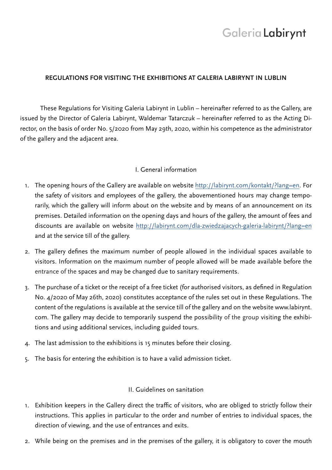# Galeria Labirynt

### **REGULATIONS FOR VISITING THE EXHIBITIONS AT GALERIA LABIRYNT IN LUBLIN**

These Regulations for Visiting Galeria Labirynt in Lublin – hereinafter referred to as the Gallery, are issued by the Director of Galeria Labirynt, Waldemar Tatarczuk – hereinafter referred to as the Acting Director, on the basis of order No. 5/2020 from May 29th, 2020, within his competence as the administrator of the gallery and the adjacent area.

### I. General information

- 1. The opening hours of the Gallery are available on website http://labirynt.com/kontakt/?lang=en. For the safety of visitors and employees of the gallery, the abovementioned hours may change temporarily, which the gallery will inform about on the website and by means of an announcement on its premises. Detailed information on the opening days and hours of the gallery, the amount of fees and discounts are available on website http://labirynt.com/dla-zwiedzajacych-galeria-labirynt/?lang=en and at the service till of the gallery.
- 2. The gallery defines the maximum number of people allowed in the individual spaces available to visitors. Information on the maximum number of people allowed will be made available before the entrance of the spaces and may be changed due to sanitary requirements.
- 3. The purchase of a ticket or the receipt of a free ticket (for authorised visitors, as defined in Regulation No. 4/2020 of May 26th, 2020) constitutes acceptance of the rules set out in these Regulations. The content of the regulations is available at the service till of the gallery and on the website www.labirynt. com. The gallery may decide to temporarily suspend the possibility of the group visiting the exhibitions and using additional services, including guided tours.
- 4. The last admission to the exhibitions is 15 minutes before their closing.
- 5. The basis for entering the exhibition is to have a valid admission ticket.

## II. Guidelines on sanitation

- 1. Exhibition keepers in the Gallery direct the traffic of visitors, who are obliged to strictly follow their instructions. This applies in particular to the order and number of entries to individual spaces, the direction of viewing, and the use of entrances and exits.
- 2. While being on the premises and in the premises of the gallery, it is obligatory to cover the mouth